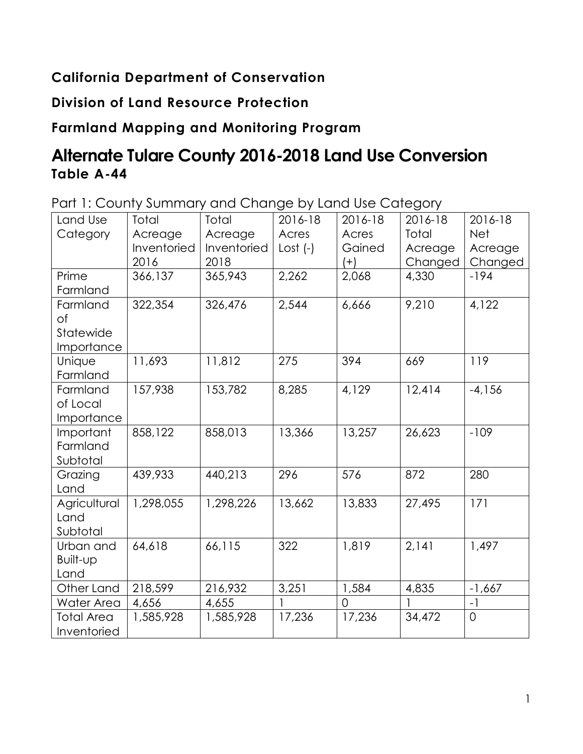### **California Department of Conservation**

### **Division of Land Resource Protection**

## **Farmland Mapping and Monitoring Program**

# **Alternate Tulare County 2016-2018 Land Use Conversion Table A-44**

Part 1: County Summary and Change by Land Use Category

| Land Use     | Total       | <b>Total</b> | 2016-18    | 2016-18  | 2016-18 | 2016-18             |
|--------------|-------------|--------------|------------|----------|---------|---------------------|
| Category     | Acreage     | Acreage      | Acres      | Acres    | Total   | <b>Net</b>          |
|              | Inventoried | Inventoried  | $Cost (-)$ | Gained   | Acreage | Acreage             |
|              | 2016        | 2018         |            | $(+)$    | Changed | Changed             |
| Prime        | 366,137     | 365,943      | 2,262      | 2,068    | 4,330   | $-194$              |
| Farmland     |             |              |            |          |         |                     |
| Farmland     | 322,354     | 326,476      | 2,544      | 6,666    | 9,210   | 4,122               |
| Οf           |             |              |            |          |         |                     |
| Statewide    |             |              |            |          |         |                     |
| Importance   |             |              |            |          |         |                     |
| Unique       | 11,693      | 11,812       | 275        | 394      | 669     | 119                 |
| Farmland     |             |              |            |          |         |                     |
| Farmland     | 157,938     | 153,782      | 8,285      | 4,129    | 12,414  | $-4,156$            |
| of Local     |             |              |            |          |         |                     |
| Importance   |             |              |            |          |         |                     |
| Important    | 858,122     | 858,013      | 13,366     | 13,257   | 26,623  | $-109$              |
| Farmland     |             |              |            |          |         |                     |
| Subtotal     |             |              |            |          |         |                     |
| Grazing      | 439,933     | 440,213      | 296        | 576      | 872     | 280                 |
| Land         |             |              |            |          |         |                     |
| Agricultural | 1,298,055   | 1,298,226    | 13,662     | 13,833   | 27,495  | 171                 |
| Land         |             |              |            |          |         |                     |
| Subtotal     |             |              |            |          |         |                     |
| Urban and    | 64,618      | 66,115       | 322        | 1,819    | 2,141   | 1,497               |
| Built-up     |             |              |            |          |         |                     |
| Land         |             |              |            |          |         |                     |
| Other Land   | 218,599     | 216,932      | 3,251      | 1,584    | 4,835   | $-1,667$            |
| Water Area   | 4,656       | 4,655        |            | $\Omega$ | 1       | $-1$                |
| Total Area   | 1,585,928   | 1,585,928    | 17,236     | 17,236   | 34,472  | $\mathsf{O}\xspace$ |
| Inventoried  |             |              |            |          |         |                     |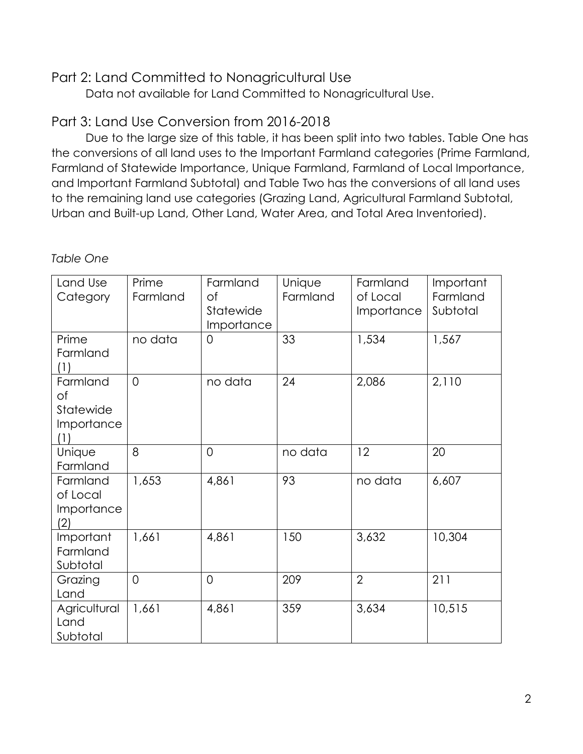#### Part 2: Land Committed to Nonagricultural Use

Data not available for Land Committed to Nonagricultural Use.

### Part 3: Land Use Conversion from 2016-2018

Due to the large size of this table, it has been split into two tables. Table One has the conversions of all land uses to the Important Farmland categories (Prime Farmland, Farmland of Statewide Importance, Unique Farmland, Farmland of Local Importance, and Important Farmland Subtotal) and Table Two has the conversions of all land uses to the remaining land use categories (Grazing Land, Agricultural Farmland Subtotal, Urban and Built-up Land, Other Land, Water Area, and Total Area Inventoried).

| Land Use<br>Category                             | Prime<br>Farmland | Farmland<br>Оf<br>Statewide<br>Importance | Unique<br>Farmland | Farmland<br>of Local<br>Importance | Important<br>Farmland<br>Subtotal |
|--------------------------------------------------|-------------------|-------------------------------------------|--------------------|------------------------------------|-----------------------------------|
| Prime<br>Farmland<br>(1)                         | no data           | $\Omega$                                  | 33                 | 1,534                              | 1,567                             |
| Farmland<br>Οf<br>Statewide<br>Importance<br>(1) | $\overline{0}$    | no data                                   | 24                 | 2,086                              | 2,110                             |
| Unique<br>Farmland                               | 8                 | $\overline{0}$                            | no data            | 12                                 | 20                                |
| Farmland<br>of Local<br>Importance<br>(2)        | 1,653             | 4,861                                     | 93                 | no data                            | 6,607                             |
| Important<br>Farmland<br>Subtotal                | 1,661             | 4,861                                     | 150                | 3,632                              | 10,304                            |
| Grazing<br>Land                                  | $\overline{0}$    | $\overline{0}$                            | 209                | $\overline{2}$                     | 211                               |
| Agricultural<br>Land<br>Subtotal                 | 1,661             | 4,861                                     | 359                | 3,634                              | 10,515                            |

#### *Table One*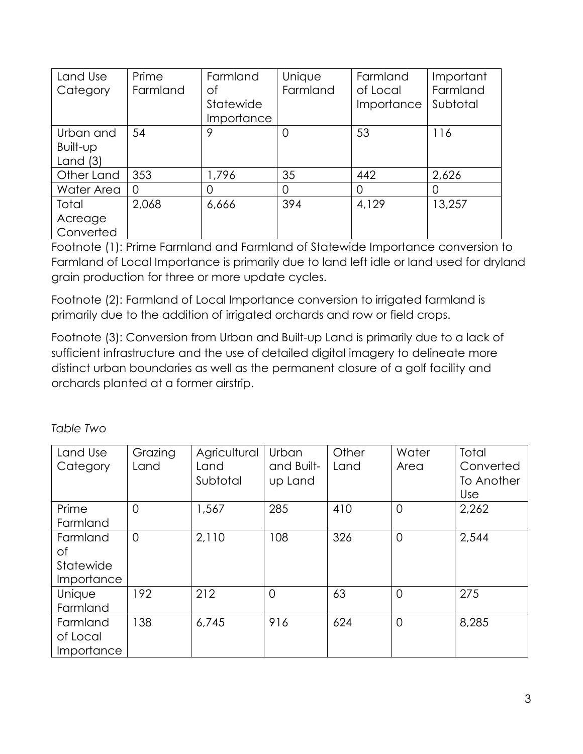| Land Use   | Prime    | Farmland   | Unique   | Farmland   | Important |
|------------|----------|------------|----------|------------|-----------|
| Category   | Farmland | οf         | Farmland | of Local   | Farmland  |
|            |          | Statewide  |          | Importance | Subtotal  |
|            |          | Importance |          |            |           |
| Urban and  | 54       | 9          |          | 53         | 116       |
| Built-up   |          |            |          |            |           |
| Land $(3)$ |          |            |          |            |           |
| Other Land | 353      | 1,796      | 35       | 442        | 2,626     |
| Water Area | 0        | 0          | $\Omega$ | O          | O         |
| Total      | 2,068    | 6,666      | 394      | 4,129      | 13,257    |
| Acreage    |          |            |          |            |           |
| Converted  |          |            |          |            |           |

Footnote (1): Prime Farmland and Farmland of Statewide Importance conversion to Farmland of Local Importance is primarily due to land left idle or land used for dryland grain production for three or more update cycles.

Footnote (2): Farmland of Local Importance conversion to irrigated farmland is primarily due to the addition of irrigated orchards and row or field crops.

Footnote (3): Conversion from Urban and Built-up Land is primarily due to a lack of sufficient infrastructure and the use of detailed digital imagery to delineate more distinct urban boundaries as well as the permanent closure of a golf facility and orchards planted at a former airstrip.

*Table Two* 

| Land Use<br>Category                             | Grazing<br>Land | Agricultural<br>Land<br>Subtotal | <b>Urban</b><br>and Built-<br>up Land | Other<br>Land | Water<br>Area  | Total<br>Converted<br>To Another<br><b>Use</b> |
|--------------------------------------------------|-----------------|----------------------------------|---------------------------------------|---------------|----------------|------------------------------------------------|
| Prime<br>Farmland                                | $\Omega$        | 1,567                            | 285                                   | 410           | $\Omega$       | 2,262                                          |
| Farmland<br>Оf<br>Statewide<br><i>Importance</i> | $\overline{0}$  | 2,110                            | 108                                   | 326           | $\overline{0}$ | 2,544                                          |
| Unique<br>Farmland                               | 192             | 212                              | $\Omega$                              | 63            | $\Omega$       | 275                                            |
| Farmland<br>of Local<br>Importance               | 138             | 6,745                            | 916                                   | 624           | $\overline{0}$ | 8,285                                          |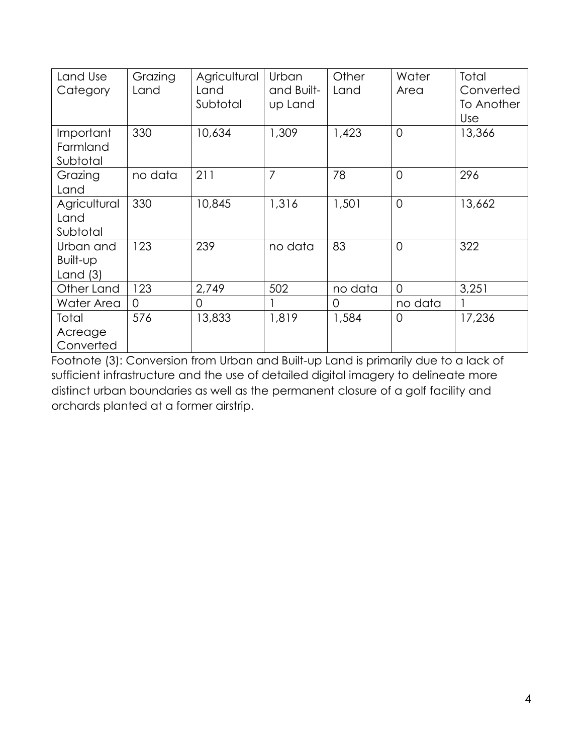| Land Use<br>Category                | Grazing<br>Land | Agricultural<br>Land<br>Subtotal | Urban<br>and Built-<br>up Land | Other<br>Land | Water<br>Area  | Total<br>Converted<br>To Another<br><b>Use</b> |
|-------------------------------------|-----------------|----------------------------------|--------------------------------|---------------|----------------|------------------------------------------------|
| Important<br>Farmland<br>Subtotal   | 330             | 10,634                           | 1,309                          | 1,423         | $\overline{0}$ | 13,366                                         |
| Grazing<br>Land                     | no data         | 211                              | $\overline{7}$                 | 78            | $\Omega$       | 296                                            |
| Agricultural<br>Land<br>Subtotal    | 330             | 10,845                           | 1,316                          | 1,501         | $\overline{0}$ | 13,662                                         |
| Urban and<br>Built-up<br>Land $(3)$ | 123             | 239                              | no data                        | 83            | $\overline{0}$ | 322                                            |
| Other Land                          | 123             | 2,749                            | 502                            | no data       | $\overline{0}$ | 3,251                                          |
| Water Area                          | $\Omega$        | 0                                |                                | $\circ$       | no data        |                                                |
| Total<br>Acreage<br>Converted       | 576             | 13,833                           | 1,819                          | 1,584         | $\overline{0}$ | 17,236                                         |

Footnote (3): Conversion from Urban and Built-up Land is primarily due to a lack of sufficient infrastructure and the use of detailed digital imagery to delineate more distinct urban boundaries as well as the permanent closure of a golf facility and orchards planted at a former airstrip.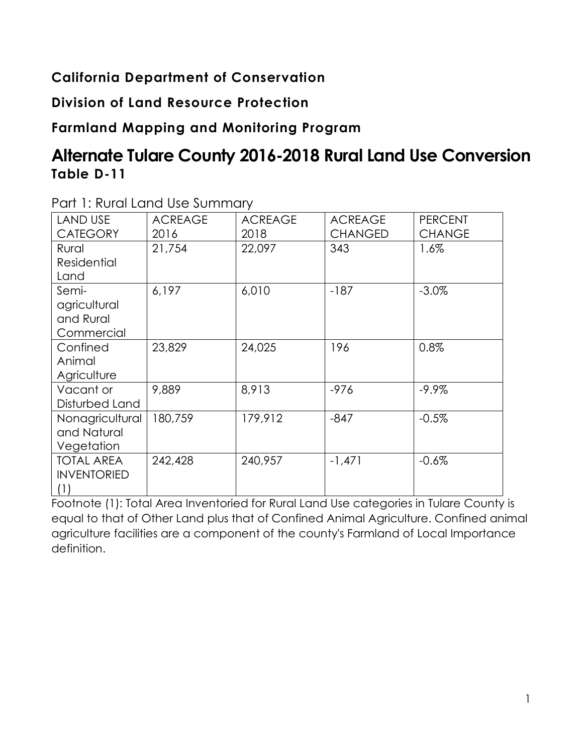### **California Department of Conservation**

**Division of Land Resource Protection**

### **Farmland Mapping and Monitoring Program**

# **Alternate Tulare County 2016-2018 Rural Land Use Conversion Table D-11**

| <b>LAND USE</b>    | <b>ACREAGE</b> | <b>ACREAGE</b> | <b>ACREAGE</b> | <b>PERCENT</b> |
|--------------------|----------------|----------------|----------------|----------------|
| <b>CATEGORY</b>    | 2016           | 2018           | <b>CHANGED</b> | <b>CHANGE</b>  |
| Rural              | 21,754         | 22,097         | 343            | 1.6%           |
| Residential        |                |                |                |                |
| Land               |                |                |                |                |
| Semi-              | 6,197          | 6,010          | $-187$         | $-3.0\%$       |
| agricultural       |                |                |                |                |
| and Rural          |                |                |                |                |
| Commercial         |                |                |                |                |
| Confined           | 23,829         | 24,025         | 196            | 0.8%           |
| Animal             |                |                |                |                |
| Agriculture        |                |                |                |                |
| Vacant or          | 9,889          | 8,913          | $-976$         | $-9.9%$        |
| Disturbed Land     |                |                |                |                |
| Nonagricultural    | 180,759        | 179,912        | $-847$         | $-0.5%$        |
| and Natural        |                |                |                |                |
| Vegetation         |                |                |                |                |
| <b>TOTAL AREA</b>  | 242,428        | 240,957        | $-1,471$       | $-0.6%$        |
| <b>INVENTORIED</b> |                |                |                |                |
| (1)                |                |                |                |                |

Part 1: Rural Land Use Summary

Footnote (1): Total Area Inventoried for Rural Land Use categories in Tulare County is equal to that of Other Land plus that of Confined Animal Agriculture. Confined animal agriculture facilities are a component of the county's Farmland of Local Importance definition.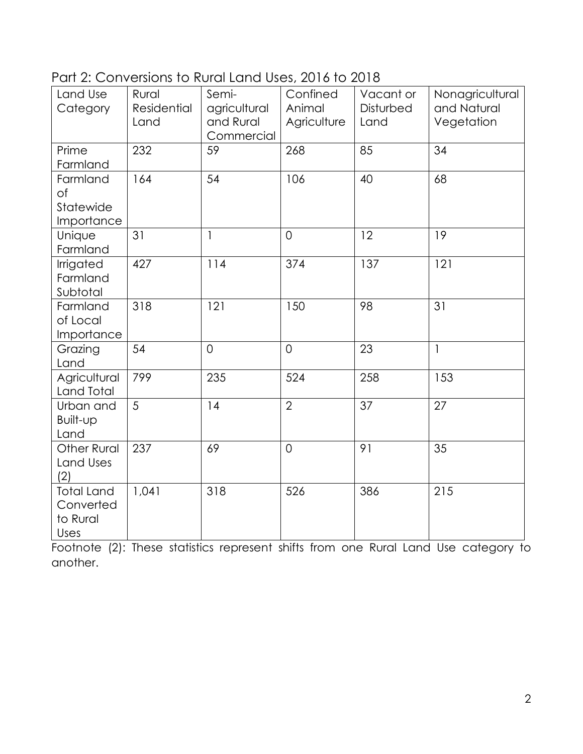Part 2: Conversions to Rural Land Uses, 2016 to 2018

| Land Use           | Rural       | Semi-          | Confined       | Vacant or | Nonagricultural |
|--------------------|-------------|----------------|----------------|-----------|-----------------|
| Category           | Residential | agricultural   | Animal         | Disturbed | and Natural     |
|                    | Land        | and Rural      | Agriculture    | Land      | Vegetation      |
|                    |             | Commercial     |                |           |                 |
| Prime              | 232         | 59             | 268            | 85        | 34              |
| Farmland           |             |                |                |           |                 |
| Farmland           | 164         | 54             | 106            | 40        | 68              |
| of                 |             |                |                |           |                 |
| Statewide          |             |                |                |           |                 |
| Importance         |             |                |                |           |                 |
| Unique             | 31          | $\overline{1}$ | $\overline{0}$ | 12        | 19              |
| Farmland           |             |                |                |           |                 |
| Irrigated          | 427         | 114            | 374            | 137       | 121             |
| Farmland           |             |                |                |           |                 |
| Subtotal           |             |                |                |           |                 |
| Farmland           | 318         | 121            | 150            | 98        | 31              |
| of Local           |             |                |                |           |                 |
| Importance         |             |                |                |           |                 |
| Grazing            | 54          | $\overline{0}$ | $\overline{0}$ | 23        | $\mathbf{1}$    |
| Land               |             |                |                |           |                 |
| Agricultural       | 799         | 235            | 524            | 258       | 153             |
| Land Total         |             |                |                |           |                 |
| Urban and          | 5           | 14             | $\overline{2}$ | 37        | 27              |
| Built-up           |             |                |                |           |                 |
| Land               |             |                |                |           |                 |
| <b>Other Rural</b> | 237         | 69             | $\overline{O}$ | 91        | 35              |
| Land Uses          |             |                |                |           |                 |
| (2)                |             |                |                |           |                 |
| <b>Total Land</b>  | 1,041       | 318            | 526            | 386       | 215             |
| Converted          |             |                |                |           |                 |
| to Rural           |             |                |                |           |                 |
| Uses               |             |                |                |           |                 |

Footnote (2): These statistics represent shifts from one Rural Land Use category to another.